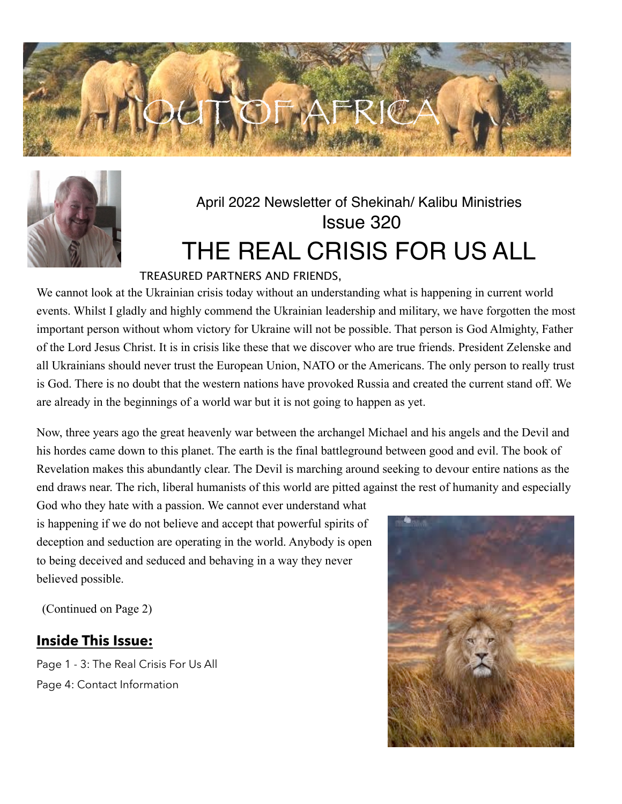



# April 2022 Newsletter of Shekinah/ Kalibu Ministries Issue 320 THE REAL CRISIS FOR US ALL

### TREASURED PARTNERS AND FRIENDS,

We cannot look at the Ukrainian crisis today without an understanding what is happening in current world events. Whilst I gladly and highly commend the Ukrainian leadership and military, we have forgotten the most important person without whom victory for Ukraine will not be possible. That person is God Almighty, Father of the Lord Jesus Christ. It is in crisis like these that we discover who are true friends. President Zelenske and all Ukrainians should never trust the European Union, NATO or the Americans. The only person to really trust is God. There is no doubt that the western nations have provoked Russia and created the current stand off. We are already in the beginnings of a world war but it is not going to happen as yet.

Now, three years ago the great heavenly war between the archangel Michael and his angels and the Devil and his hordes came down to this planet. The earth is the final battleground between good and evil. The book of Revelation makes this abundantly clear. The Devil is marching around seeking to devour entire nations as the end draws near. The rich, liberal humanists of this world are pitted against the rest of humanity and especially

God who they hate with a passion. We cannot ever understand what is happening if we do not believe and accept that powerful spirits of deception and seduction are operating in the world. Anybody is open to being deceived and seduced and behaving in a way they never believed possible.

(Continued on Page 2)

### **Inside This Issue:**

Page 1 - 3: The Real Crisis For Us All Page 4: Contact Information

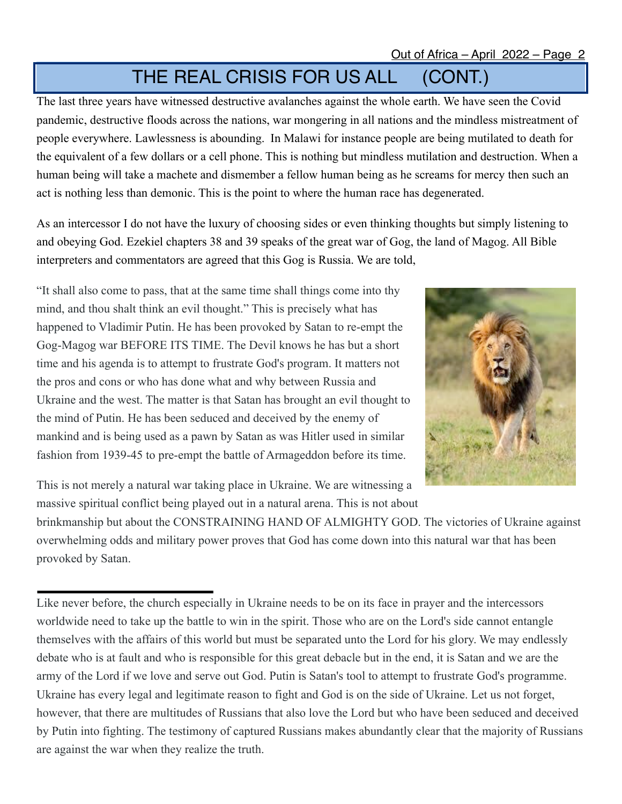## THE REAL CRISIS FOR US ALL (CONT.)

The last three years have witnessed destructive avalanches against the whole earth. We have seen the Covid pandemic, destructive floods across the nations, war mongering in all nations and the mindless mistreatment of people everywhere. Lawlessness is abounding. In Malawi for instance people are being mutilated to death for the equivalent of a few dollars or a cell phone. This is nothing but mindless mutilation and destruction. When a human being will take a machete and dismember a fellow human being as he screams for mercy then such an act is nothing less than demonic. This is the point to where the human race has degenerated.

As an intercessor I do not have the luxury of choosing sides or even thinking thoughts but simply listening to and obeying God. Ezekiel chapters 38 and 39 speaks of the great war of Gog, the land of Magog. All Bible interpreters and commentators are agreed that this Gog is Russia. We are told,

"It shall also come to pass, that at the same time shall things come into thy mind, and thou shalt think an evil thought." This is precisely what has happened to Vladimir Putin. He has been provoked by Satan to re-empt the Gog-Magog war BEFORE ITS TIME. The Devil knows he has but a short time and his agenda is to attempt to frustrate God's program. It matters not the pros and cons or who has done what and why between Russia and Ukraine and the west. The matter is that Satan has brought an evil thought to the mind of Putin. He has been seduced and deceived by the enemy of mankind and is being used as a pawn by Satan as was Hitler used in similar fashion from 1939-45 to pre-empt the battle of Armageddon before its time.



This is not merely a natural war taking place in Ukraine. We are witnessing a massive spiritual conflict being played out in a natural arena. This is not about

brinkmanship but about the CONSTRAINING HAND OF ALMIGHTY GOD. The victories of Ukraine against overwhelming odds and military power proves that God has come down into this natural war that has been provoked by Satan.

Like never before, the church especially in Ukraine needs to be on its face in prayer and the intercessors worldwide need to take up the battle to win in the spirit. Those who are on the Lord's side cannot entangle themselves with the affairs of this world but must be separated unto the Lord for his glory. We may endlessly debate who is at fault and who is responsible for this great debacle but in the end, it is Satan and we are the army of the Lord if we love and serve out God. Putin is Satan's tool to attempt to frustrate God's programme. Ukraine has every legal and legitimate reason to fight and God is on the side of Ukraine. Let us not forget, however, that there are multitudes of Russians that also love the Lord but who have been seduced and deceived by Putin into fighting. The testimony of captured Russians makes abundantly clear that the majority of Russians are against the war when they realize the truth.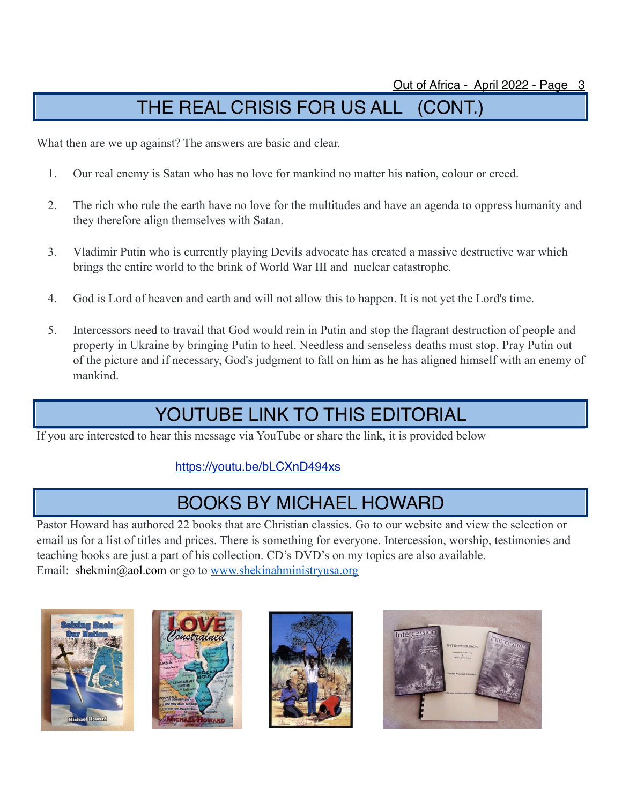# THE REAL CRISIS FOR US ALL (CONT.)

What then are we up against? The answers are basic and clear.

- 1. Our real enemy is Satan who has no love for mankind no matter his nation, colour or creed.
- 2. The rich who rule the earth have no love for the multitudes and have an agenda to oppress humanity and they therefore align themselves with Satan.
- 3. Vladimir Putin who is currently playing Devils advocate has created a massive destructive war which brings the entire world to the brink of World War III and nuclear catastrophe.
- 4. God is Lord of heaven and earth and will not allow this to happen. It is not yet the Lord's time.
- 5. Intercessors need to travail that God would rein in Putin and stop the flagrant destruction of people and property in Ukraine by bringing Putin to heel. Needless and senseless deaths must stop. Pray Putin out of the picture and if necessary, God's judgment to fall on him as he has aligned himself with an enemy of mankind.

## YOUTUBE LINK TO THIS EDITORIAL

If you are interested to hear this message via YouTube or share the link, it is provided below

### <https://youtu.be/bLCXnD494xs>

### BOOKS BY MICHAEL HOWARD

Pastor Howard has authored 22 books that are Christian classics. Go to our website and view the selection or email us for a list of titles and prices. There is something for everyone. Intercession, worship, testimonies and teaching books are just a part of his collection. CD's DVD's on my topics are also available. Email: [shekmin@aol.com](mailto:shekmin@aol.com) or go to www.shekinahministryusa.org